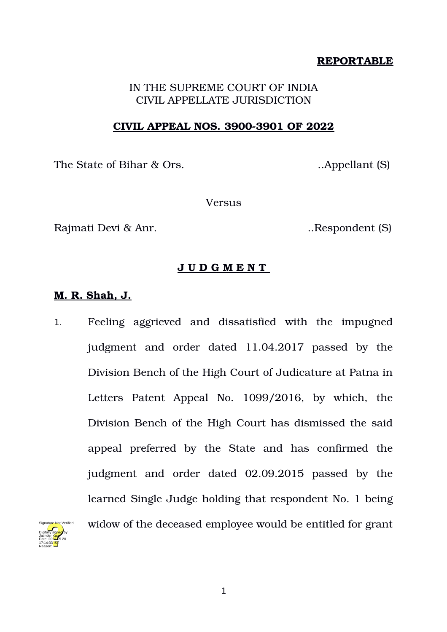## **REPORTABLE**

# IN THE SUPREME COURT OF INDIA CIVIL APPELLATE JURISDICTION

### **CIVIL APPEAL NOS. 39003901 OF 2022**

The State of Bihar & Ors. ..Appellant (S)

**Versus** 

Rajmati Devi & Anr. ..Respondent (S)

## **J U D G M E N T**

## **M. R. Shah, J.**

1. Feeling aggrieved and dissatisfied with the impugned judgment and order dated 11.04.2017 passed by the Division Bench of the High Court of Judicature at Patna in Letters Patent Appeal No. 1099/2016, by which, the Division Bench of the High Court has dismissed the said appeal preferred by the State and has confirmed the judgment and order dated 02.09.2015 passed by the learned Single Judge holding that respondent No. 1 being widow of the deceased employee would be entitled for grant

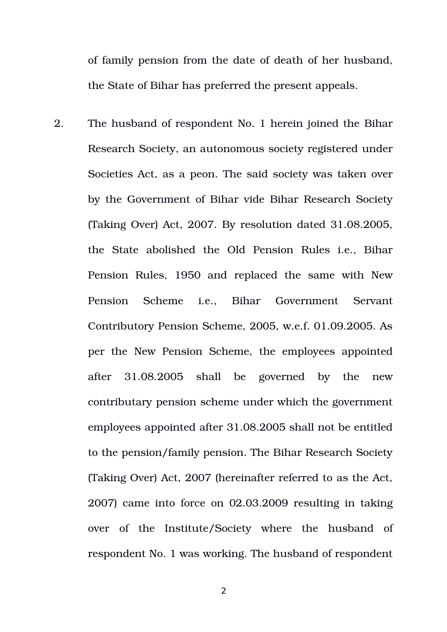of family pension from the date of death of her husband, the State of Bihar has preferred the present appeals.

2. The husband of respondent No. 1 herein joined the Bihar Research Society, an autonomous society registered under Societies Act, as a peon. The said society was taken over by the Government of Bihar vide Bihar Research Society (Taking Over) Act, 2007. By resolution dated 31.08.2005, the State abolished the Old Pension Rules i.e., Bihar Pension Rules, 1950 and replaced the same with New Pension Scheme i.e., Bihar Government Servant Contributory Pension Scheme, 2005, w.e.f. 01.09.2005. As per the New Pension Scheme, the employees appointed after 31.08.2005 shall be governed by the new contributary pension scheme under which the government employees appointed after 31.08.2005 shall not be entitled to the pension/family pension. The Bihar Research Society (Taking Over) Act, 2007 (hereinafter referred to as the Act, 2007) came into force on 02.03.2009 resulting in taking over of the Institute/Society where the husband of respondent No. 1 was working. The husband of respondent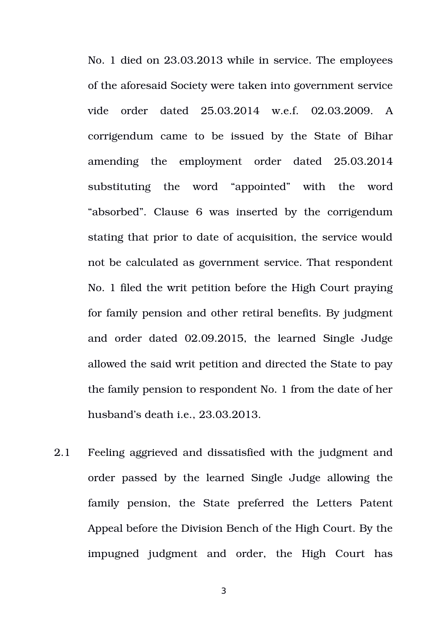No. 1 died on 23.03.2013 while in service. The employees of the aforesaid Society were taken into government service vide order dated 25.03.2014 w.e.f. 02.03.2009. A corrigendum came to be issued by the State of Bihar amending the employment order dated 25.03.2014 substituting the word "appointed" with the word "absorbed". Clause 6 was inserted by the corrigendum stating that prior to date of acquisition, the service would not be calculated as government service. That respondent No. 1 filed the writ petition before the High Court praying for family pension and other retiral benefits. By judgment and order dated 02.09.2015, the learned Single Judge allowed the said writ petition and directed the State to pay the family pension to respondent No. 1 from the date of her husband's death i.e., 23.03.2013.

2.1 Feeling aggrieved and dissatisfied with the judgment and order passed by the learned Single Judge allowing the family pension, the State preferred the Letters Patent Appeal before the Division Bench of the High Court. By the impugned judgment and order, the High Court has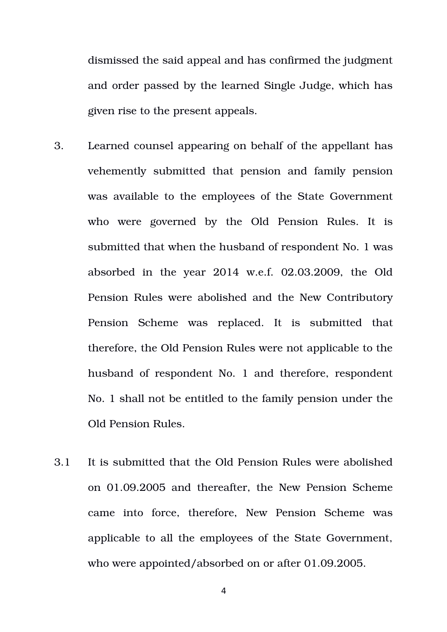dismissed the said appeal and has confirmed the judgment and order passed by the learned Single Judge, which has given rise to the present appeals.

- 3. Learned counsel appearing on behalf of the appellant has vehemently submitted that pension and family pension was available to the employees of the State Government who were governed by the Old Pension Rules. It is submitted that when the husband of respondent No. 1 was absorbed in the year  $2014$  w.e.f.  $02.03.2009$ , the Old Pension Rules were abolished and the New Contributory Pension Scheme was replaced. It is submitted that therefore, the Old Pension Rules were not applicable to the husband of respondent No. 1 and therefore, respondent No. 1 shall not be entitled to the family pension under the Old Pension Rules.
- 3.1 It is submitted that the Old Pension Rules were abolished on 01.09.2005 and thereafter, the New Pension Scheme came into force, therefore, New Pension Scheme was applicable to all the employees of the State Government, who were appointed/absorbed on or after 01.09.2005.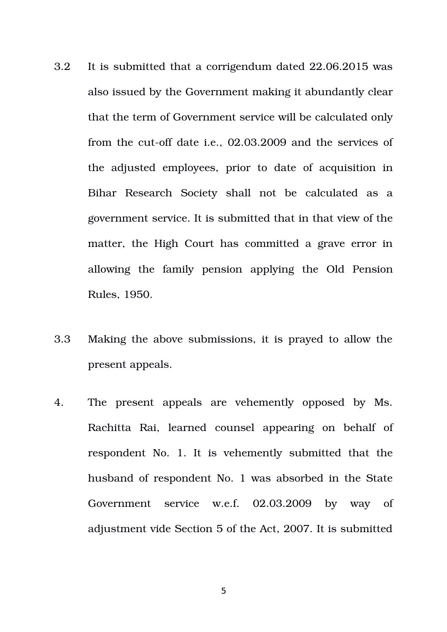- 3.2 It is submitted that a corrigendum dated 22.06.2015 was also issued by the Government making it abundantly clear that the term of Government service will be calculated only from the cut-off date i.e., 02.03.2009 and the services of the adjusted employees, prior to date of acquisition in Bihar Research Society shall not be calculated as a government service. It is submitted that in that view of the matter, the High Court has committed a grave error in allowing the family pension applying the Old Pension Rules, 1950.
- 3.3 Making the above submissions, it is prayed to allow the present appeals.
- 4. The present appeals are vehemently opposed by Ms. Rachitta Rai, learned counsel appearing on behalf of respondent No. 1. It is vehemently submitted that the husband of respondent No. 1 was absorbed in the State Government service w.e.f. 02.03.2009 by way of adjustment vide Section 5 of the Act, 2007. It is submitted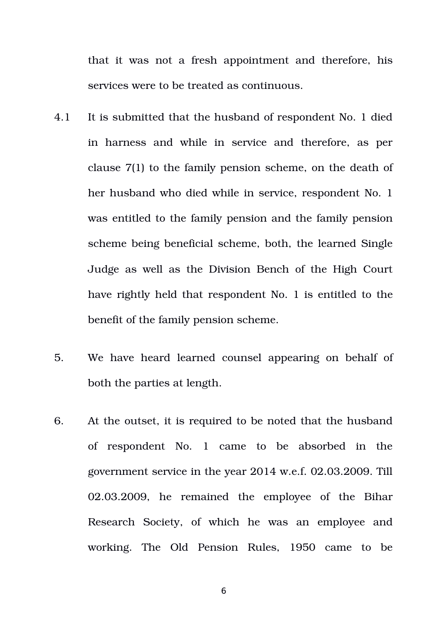that it was not a fresh appointment and therefore, his services were to be treated as continuous.

- 4.1 It is submitted that the husband of respondent No. 1 died in harness and while in service and therefore, as per clause 7(1) to the family pension scheme, on the death of her husband who died while in service, respondent No. 1 was entitled to the family pension and the family pension scheme being beneficial scheme, both, the learned Single Judge as well as the Division Bench of the High Court have rightly held that respondent No. 1 is entitled to the benefit of the family pension scheme.
- 5. We have heard learned counsel appearing on behalf of both the parties at length.
- 6. At the outset, it is required to be noted that the husband of respondent No. 1 came to be absorbed in the government service in the year 2014 w.e.f. 02.03.2009. Till 02.03.2009, he remained the employee of the Bihar Research Society, of which he was an employee and working. The Old Pension Rules, 1950 came to be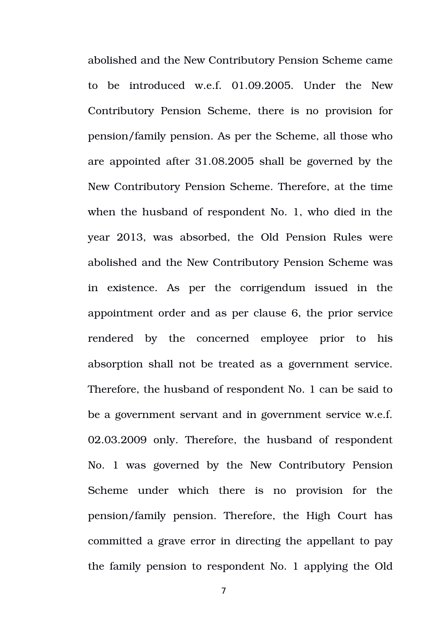abolished and the New Contributory Pension Scheme came to be introduced w.e.f. 01.09.2005. Under the New Contributory Pension Scheme, there is no provision for pension/family pension. As per the Scheme, all those who are appointed after 31.08.2005 shall be governed by the New Contributory Pension Scheme. Therefore, at the time when the husband of respondent No. 1, who died in the year 2013, was absorbed, the Old Pension Rules were abolished and the New Contributory Pension Scheme was in existence. As per the corrigendum issued in the appointment order and as per clause 6, the prior service rendered by the concerned employee prior to his absorption shall not be treated as a government service. Therefore, the husband of respondent No. 1 can be said to be a government servant and in government service w.e.f. 02.03.2009 only. Therefore, the husband of respondent No. 1 was governed by the New Contributory Pension Scheme under which there is no provision for the pension/family pension. Therefore, the High Court has committed a grave error in directing the appellant to pay the family pension to respondent No. 1 applying the Old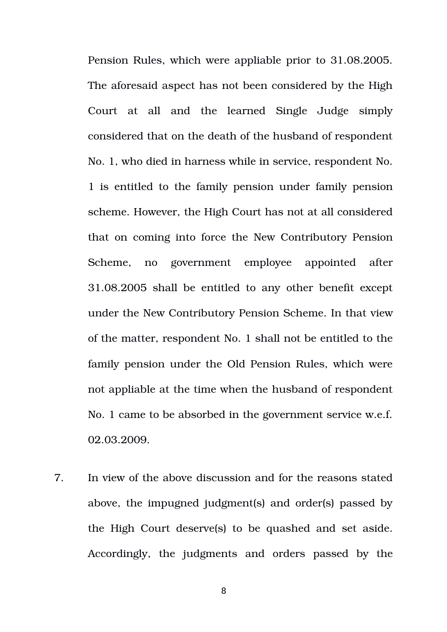Pension Rules, which were appliable prior to 31.08.2005. The aforesaid aspect has not been considered by the High Court at all and the learned Single Judge simply considered that on the death of the husband of respondent No. 1, who died in harness while in service, respondent No. 1 is entitled to the family pension under family pension scheme. However, the High Court has not at all considered that on coming into force the New Contributory Pension Scheme, no government employee appointed after 31.08.2005 shall be entitled to any other benefit except under the New Contributory Pension Scheme. In that view of the matter, respondent No. 1 shall not be entitled to the family pension under the Old Pension Rules, which were not appliable at the time when the husband of respondent No. 1 came to be absorbed in the government service w.e.f. 02.03.2009.

7. In view of the above discussion and for the reasons stated above, the impugned judgment(s) and order(s) passed by the High Court deserve(s) to be quashed and set aside. Accordingly, the judgments and orders passed by the